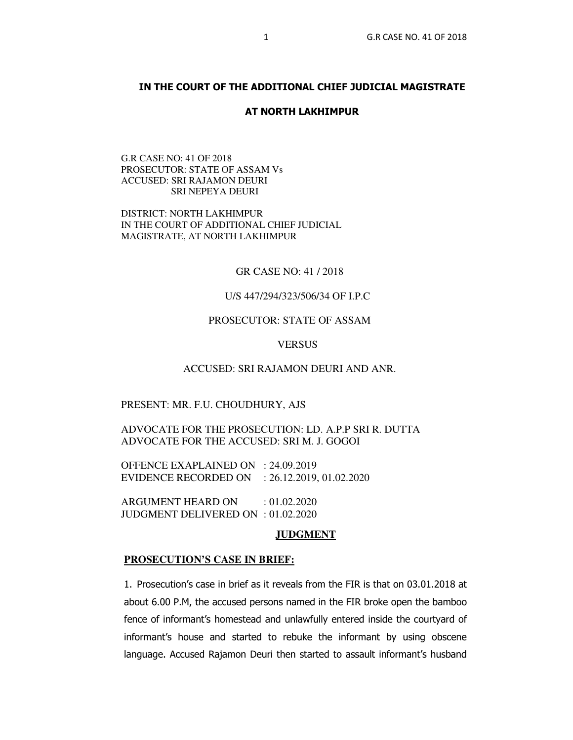# **IN THE COURT OF THE ADDITIONAL CHIEF JUDICIAL MAGISTRATE**

### **AT NORTH LAKHIMPUR**

G.R CASE NO: 41 OF 2018 PROSECUTOR: STATE OF ASSAM Vs ACCUSED: SRI RAJAMON DEURI SRI NEPEYA DEURI

DISTRICT: NORTH LAKHIMPUR IN THE COURT OF ADDITIONAL CHIEF JUDICIAL MAGISTRATE, AT NORTH LAKHIMPUR

GR CASE NO: 41 / 2018

# U/S 447/294/323/506/34 OF I.P.C

# PROSECUTOR: STATE OF ASSAM

# **VERSUS**

## ACCUSED: SRI RAJAMON DEURI AND ANR.

# PRESENT: MR. F.U. CHOUDHURY, AJS

ADVOCATE FOR THE PROSECUTION: LD. A.P.P SRI R. DUTTA ADVOCATE FOR THE ACCUSED: SRI M. J. GOGOI

OFFENCE EXAPLAINED ON : 24.09.2019 EVIDENCE RECORDED ON : 26.12.2019, 01.02.2020

ARGUMENT HEARD ON : 01.02.2020 JUDGMENT DELIVERED ON : 01.02.2020

# **JUDGMENT**

#### **PROSECUTION'S CASE IN BRIEF:**

1. Prosecution's case in brief as it reveals from the FIR is that on 03.01.2018 at about 6.00 P.M, the accused persons named in the FIR broke open the bamboo fence of informant's homestead and unlawfully entered inside the courtyard of informant's house and started to rebuke the informant by using obscene language. Accused Rajamon Deuri then started to assault informant's husband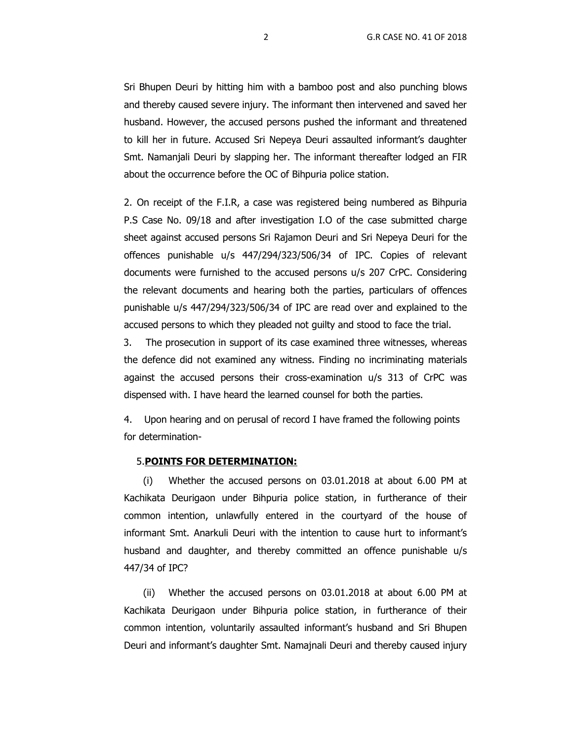Sri Bhupen Deuri by hitting him with a bamboo post and also punching blows and thereby caused severe injury. The informant then intervened and saved her husband. However, the accused persons pushed the informant and threatened to kill her in future. Accused Sri Nepeya Deuri assaulted informant's daughter Smt. Namanjali Deuri by slapping her. The informant thereafter lodged an FIR about the occurrence before the OC of Bihpuria police station.

2. On receipt of the F.I.R, a case was registered being numbered as Bihpuria P.S Case No. 09/18 and after investigation I.O of the case submitted charge sheet against accused persons Sri Rajamon Deuri and Sri Nepeya Deuri for the offences punishable u/s 447/294/323/506/34 of IPC. Copies of relevant documents were furnished to the accused persons u/s 207 CrPC. Considering the relevant documents and hearing both the parties, particulars of offences punishable u/s 447/294/323/506/34 of IPC are read over and explained to the accused persons to which they pleaded not guilty and stood to face the trial.

 3. The prosecution in support of its case examined three witnesses, whereas the defence did not examined any witness. Finding no incriminating materials against the accused persons their cross-examination u/s 313 of CrPC was dispensed with. I have heard the learned counsel for both the parties.

4. Upon hearing and on perusal of record I have framed the following points for determination-

#### 5.**POINTS FOR DETERMINATION:**

(i) Whether the accused persons on 03.01.2018 at about 6.00 PM at Kachikata Deurigaon under Bihpuria police station, in furtherance of their common intention, unlawfully entered in the courtyard of the house of informant Smt. Anarkuli Deuri with the intention to cause hurt to informant's husband and daughter, and thereby committed an offence punishable u/s 447/34 of IPC?

(ii) Whether the accused persons on 03.01.2018 at about 6.00 PM at Kachikata Deurigaon under Bihpuria police station, in furtherance of their common intention, voluntarily assaulted informant's husband and Sri Bhupen Deuri and informant's daughter Smt. Namajnali Deuri and thereby caused injury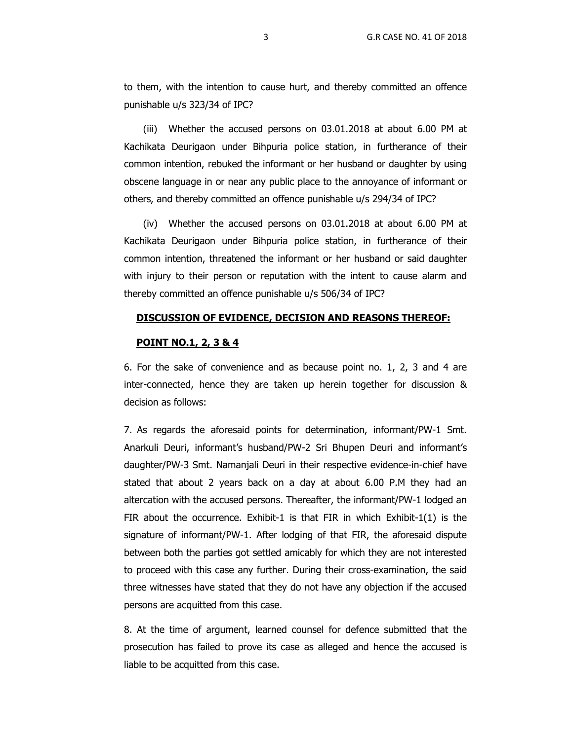to them, with the intention to cause hurt, and thereby committed an offence punishable u/s 323/34 of IPC?

(iii) Whether the accused persons on 03.01.2018 at about 6.00 PM at Kachikata Deurigaon under Bihpuria police station, in furtherance of their common intention, rebuked the informant or her husband or daughter by using obscene language in or near any public place to the annoyance of informant or others, and thereby committed an offence punishable u/s 294/34 of IPC?

(iv) Whether the accused persons on 03.01.2018 at about 6.00 PM at Kachikata Deurigaon under Bihpuria police station, in furtherance of their common intention, threatened the informant or her husband or said daughter with injury to their person or reputation with the intent to cause alarm and thereby committed an offence punishable u/s 506/34 of IPC?

# **DISCUSSION OF EVIDENCE, DECISION AND REASONS THEREOF:**

# **POINT NO.1, 2, 3 & 4**

6. For the sake of convenience and as because point no. 1, 2, 3 and 4 are inter-connected, hence they are taken up herein together for discussion & decision as follows:

7. As regards the aforesaid points for determination, informant/PW-1 Smt. Anarkuli Deuri, informant's husband/PW-2 Sri Bhupen Deuri and informant's daughter/PW-3 Smt. Namanjali Deuri in their respective evidence-in-chief have stated that about 2 years back on a day at about 6.00 P.M they had an altercation with the accused persons. Thereafter, the informant/PW-1 lodged an FIR about the occurrence. Exhibit-1 is that FIR in which Exhibit- $1(1)$  is the signature of informant/PW-1. After lodging of that FIR, the aforesaid dispute between both the parties got settled amicably for which they are not interested to proceed with this case any further. During their cross-examination, the said three witnesses have stated that they do not have any objection if the accused persons are acquitted from this case.

8. At the time of argument, learned counsel for defence submitted that the prosecution has failed to prove its case as alleged and hence the accused is liable to be acquitted from this case.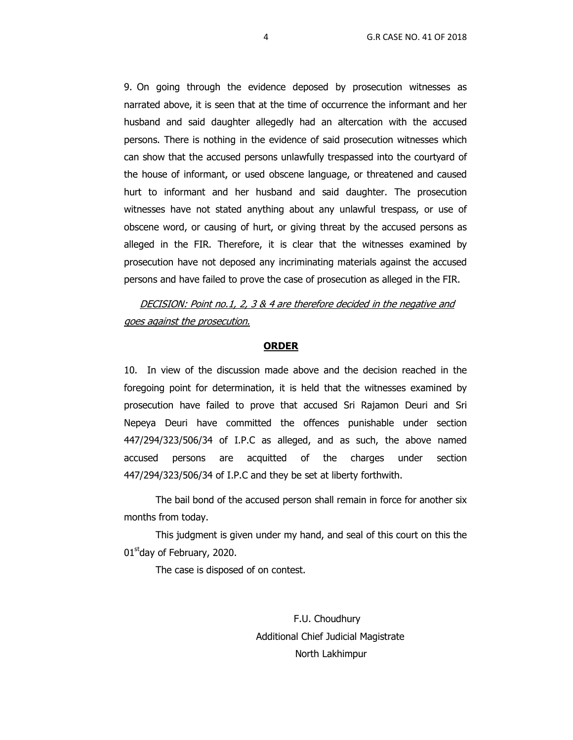9. On going through the evidence deposed by prosecution witnesses as narrated above, it is seen that at the time of occurrence the informant and her husband and said daughter allegedly had an altercation with the accused persons. There is nothing in the evidence of said prosecution witnesses which can show that the accused persons unlawfully trespassed into the courtyard of the house of informant, or used obscene language, or threatened and caused hurt to informant and her husband and said daughter. The prosecution witnesses have not stated anything about any unlawful trespass, or use of obscene word, or causing of hurt, or giving threat by the accused persons as alleged in the FIR. Therefore, it is clear that the witnesses examined by prosecution have not deposed any incriminating materials against the accused persons and have failed to prove the case of prosecution as alleged in the FIR.

DECISION: Point no.1, 2, 3 & 4 are therefore decided in the negative and goes against the prosecution.

## **ORDER**

10. In view of the discussion made above and the decision reached in the foregoing point for determination, it is held that the witnesses examined by prosecution have failed to prove that accused Sri Rajamon Deuri and Sri Nepeya Deuri have committed the offences punishable under section 447/294/323/506/34 of I.P.C as alleged, and as such, the above named accused persons are acquitted of the charges under section 447/294/323/506/34 of I.P.C and they be set at liberty forthwith.

The bail bond of the accused person shall remain in force for another six months from today.

This judgment is given under my hand, and seal of this court on this the  $01<sup>st</sup>$ day of February, 2020.

The case is disposed of on contest.

 F.U. Choudhury Additional Chief Judicial Magistrate North Lakhimpur